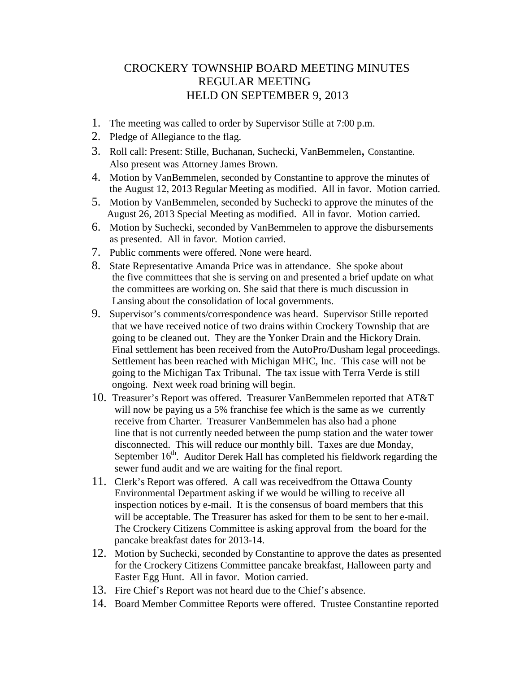## CROCKERY TOWNSHIP BOARD MEETING MINUTES REGULAR MEETING HELD ON SEPTEMBER 9, 2013

- 1. The meeting was called to order by Supervisor Stille at 7:00 p.m.
- 2. Pledge of Allegiance to the flag.
- 3. Roll call: Present: Stille, Buchanan, Suchecki, VanBemmelen, Constantine. Also present was Attorney James Brown.
- 4. Motion by VanBemmelen, seconded by Constantine to approve the minutes of the August 12, 2013 Regular Meeting as modified. All in favor. Motion carried.
- 5. Motion by VanBemmelen, seconded by Suchecki to approve the minutes of the August 26, 2013 Special Meeting as modified. All in favor. Motion carried.
- 6. Motion by Suchecki, seconded by VanBemmelen to approve the disbursements as presented. All in favor. Motion carried.
- 7. Public comments were offered. None were heard.
- 8. State Representative Amanda Price was in attendance. She spoke about the five committees that she is serving on and presented a brief update on what the committees are working on. She said that there is much discussion in Lansing about the consolidation of local governments.
- 9. Supervisor's comments/correspondence was heard. Supervisor Stille reported that we have received notice of two drains within Crockery Township that are going to be cleaned out. They are the Yonker Drain and the Hickory Drain. Final settlement has been received from the AutoPro/Dusham legal proceedings. Settlement has been reached with Michigan MHC, Inc. This case will not be going to the Michigan Tax Tribunal. The tax issue with Terra Verde is still ongoing. Next week road brining will begin.
- 10. Treasurer's Report was offered. Treasurer VanBemmelen reported that AT&T will now be paying us a 5% franchise fee which is the same as we currently receive from Charter. Treasurer VanBemmelen has also had a phone line that is not currently needed between the pump station and the water tower disconnected. This will reduce our monthly bill. Taxes are due Monday, September  $16<sup>th</sup>$ . Auditor Derek Hall has completed his fieldwork regarding the sewer fund audit and we are waiting for the final report.
- 11. Clerk's Report was offered. A call was receivedfrom the Ottawa County Environmental Department asking if we would be willing to receive all inspection notices by e-mail. It is the consensus of board members that this will be acceptable. The Treasurer has asked for them to be sent to her e-mail. The Crockery Citizens Committee is asking approval from the board for the pancake breakfast dates for 2013-14.
- 12. Motion by Suchecki, seconded by Constantine to approve the dates as presented for the Crockery Citizens Committee pancake breakfast, Halloween party and Easter Egg Hunt. All in favor. Motion carried.
- 13. Fire Chief's Report was not heard due to the Chief's absence.
- 14. Board Member Committee Reports were offered. Trustee Constantine reported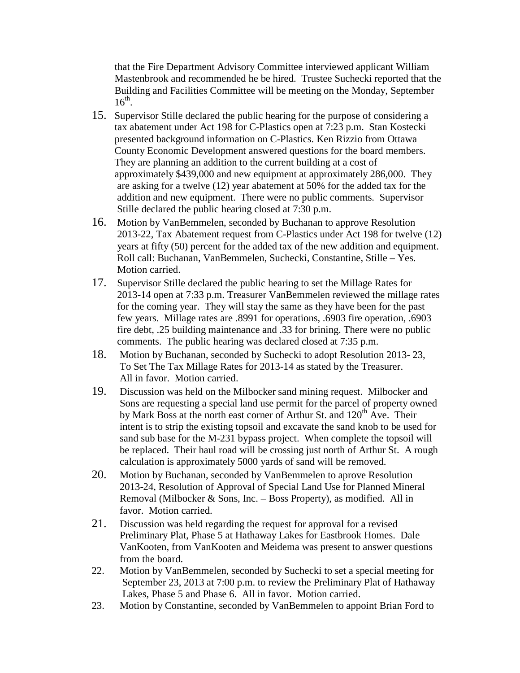that the Fire Department Advisory Committee interviewed applicant William Mastenbrook and recommended he be hired. Trustee Suchecki reported that the Building and Facilities Committee will be meeting on the Monday, September  $16^{th}$ .

- 15. Supervisor Stille declared the public hearing for the purpose of considering a tax abatement under Act 198 for C-Plastics open at 7:23 p.m. Stan Kostecki presented background information on C-Plastics. Ken Rizzio from Ottawa County Economic Development answered questions for the board members. They are planning an addition to the current building at a cost of approximately \$439,000 and new equipment at approximately 286,000. They are asking for a twelve (12) year abatement at 50% for the added tax for the addition and new equipment. There were no public comments. Supervisor Stille declared the public hearing closed at 7:30 p.m.
- 16. Motion by VanBemmelen, seconded by Buchanan to approve Resolution 2013-22, Tax Abatement request from C-Plastics under Act 198 for twelve (12) years at fifty (50) percent for the added tax of the new addition and equipment. Roll call: Buchanan, VanBemmelen, Suchecki, Constantine, Stille – Yes. Motion carried.
- 17. Supervisor Stille declared the public hearing to set the Millage Rates for 2013-14 open at 7:33 p.m. Treasurer VanBemmelen reviewed the millage rates for the coming year. They will stay the same as they have been for the past few years. Millage rates are .8991 for operations, .6903 fire operation, .6903 fire debt, .25 building maintenance and .33 for brining. There were no public comments. The public hearing was declared closed at 7:35 p.m.
- 18. Motion by Buchanan, seconded by Suchecki to adopt Resolution 2013- 23, To Set The Tax Millage Rates for 2013-14 as stated by the Treasurer. All in favor. Motion carried.
- 19. Discussion was held on the Milbocker sand mining request. Milbocker and Sons are requesting a special land use permit for the parcel of property owned by Mark Boss at the north east corner of Arthur St. and  $120<sup>th</sup>$  Ave. Their intent is to strip the existing topsoil and excavate the sand knob to be used for sand sub base for the M-231 bypass project. When complete the topsoil will be replaced. Their haul road will be crossing just north of Arthur St. A rough calculation is approximately 5000 yards of sand will be removed.
- 20. Motion by Buchanan, seconded by VanBemmelen to aprove Resolution 2013-24, Resolution of Approval of Special Land Use for Planned Mineral Removal (Milbocker & Sons, Inc. – Boss Property), as modified. All in favor. Motion carried.
- 21. Discussion was held regarding the request for approval for a revised Preliminary Plat, Phase 5 at Hathaway Lakes for Eastbrook Homes. Dale VanKooten, from VanKooten and Meidema was present to answer questions from the board.
- 22. Motion by VanBemmelen, seconded by Suchecki to set a special meeting for September 23, 2013 at 7:00 p.m. to review the Preliminary Plat of Hathaway Lakes, Phase 5 and Phase 6. All in favor. Motion carried.
- 23. Motion by Constantine, seconded by VanBemmelen to appoint Brian Ford to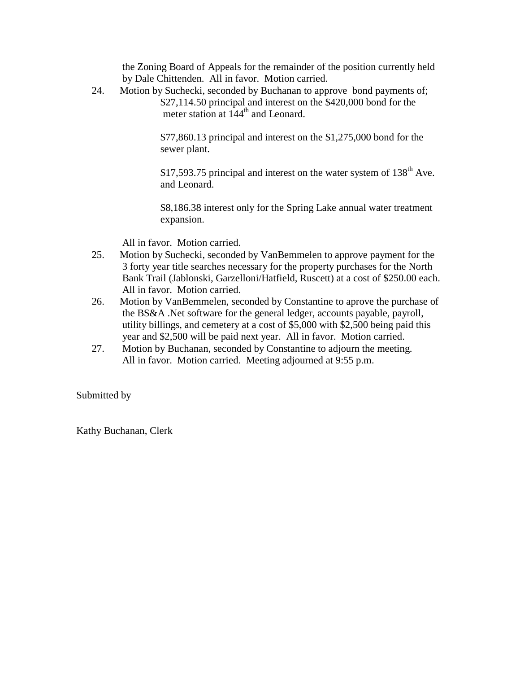the Zoning Board of Appeals for the remainder of the position currently held by Dale Chittenden. All in favor. Motion carried.

24. Motion by Suchecki, seconded by Buchanan to approve bond payments of; \$27,114.50 principal and interest on the \$420,000 bond for the meter station at  $144<sup>th</sup>$  and Leonard.

> \$77,860.13 principal and interest on the \$1,275,000 bond for the sewer plant.

\$17,593.75 principal and interest on the water system of  $138<sup>th</sup>$  Ave. and Leonard.

 \$8,186.38 interest only for the Spring Lake annual water treatment expansion.

All in favor. Motion carried.

- 25. Motion by Suchecki, seconded by VanBemmelen to approve payment for the 3 forty year title searches necessary for the property purchases for the North Bank Trail (Jablonski, Garzelloni/Hatfield, Ruscett) at a cost of \$250.00 each. All in favor. Motion carried.
- 26. Motion by VanBemmelen, seconded by Constantine to aprove the purchase of the BS&A .Net software for the general ledger, accounts payable, payroll, utility billings, and cemetery at a cost of \$5,000 with \$2,500 being paid this year and \$2,500 will be paid next year. All in favor. Motion carried.
- 27. Motion by Buchanan, seconded by Constantine to adjourn the meeting. All in favor. Motion carried. Meeting adjourned at 9:55 p.m.

Submitted by

Kathy Buchanan, Clerk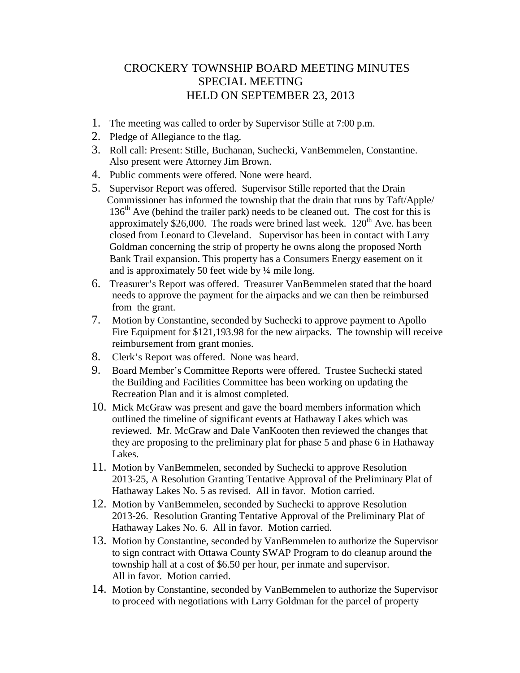## CROCKERY TOWNSHIP BOARD MEETING MINUTES SPECIAL MEETING HELD ON SEPTEMBER 23, 2013

- 1. The meeting was called to order by Supervisor Stille at 7:00 p.m.
- 2. Pledge of Allegiance to the flag.
- 3. Roll call: Present: Stille, Buchanan, Suchecki, VanBemmelen, Constantine. Also present were Attorney Jim Brown.
- 4. Public comments were offered. None were heard.
- 5. Supervisor Report was offered. Supervisor Stille reported that the Drain Commissioner has informed the township that the drain that runs by Taft/Apple/  $136<sup>th</sup>$  Ave (behind the trailer park) needs to be cleaned out. The cost for this is approximately \$26,000. The roads were brined last week.  $120<sup>th</sup>$  Ave. has been closed from Leonard to Cleveland. Supervisor has been in contact with Larry Goldman concerning the strip of property he owns along the proposed North Bank Trail expansion. This property has a Consumers Energy easement on it and is approximately 50 feet wide by ¼ mile long.
- 6. Treasurer's Report was offered. Treasurer VanBemmelen stated that the board needs to approve the payment for the airpacks and we can then be reimbursed from the grant.
- 7. Motion by Constantine, seconded by Suchecki to approve payment to Apollo Fire Equipment for \$121,193.98 for the new airpacks. The township will receive reimbursement from grant monies.
- 8. Clerk's Report was offered. None was heard.
- 9. Board Member's Committee Reports were offered. Trustee Suchecki stated the Building and Facilities Committee has been working on updating the Recreation Plan and it is almost completed.
- 10. Mick McGraw was present and gave the board members information which outlined the timeline of significant events at Hathaway Lakes which was reviewed. Mr. McGraw and Dale VanKooten then reviewed the changes that they are proposing to the preliminary plat for phase 5 and phase 6 in Hathaway Lakes.
- 11. Motion by VanBemmelen, seconded by Suchecki to approve Resolution 2013-25, A Resolution Granting Tentative Approval of the Preliminary Plat of Hathaway Lakes No. 5 as revised. All in favor. Motion carried.
- 12. Motion by VanBemmelen, seconded by Suchecki to approve Resolution 2013-26. Resolution Granting Tentative Approval of the Preliminary Plat of Hathaway Lakes No. 6. All in favor. Motion carried.
- 13. Motion by Constantine, seconded by VanBemmelen to authorize the Supervisor to sign contract with Ottawa County SWAP Program to do cleanup around the township hall at a cost of \$6.50 per hour, per inmate and supervisor. All in favor. Motion carried.
- 14. Motion by Constantine, seconded by VanBemmelen to authorize the Supervisor to proceed with negotiations with Larry Goldman for the parcel of property